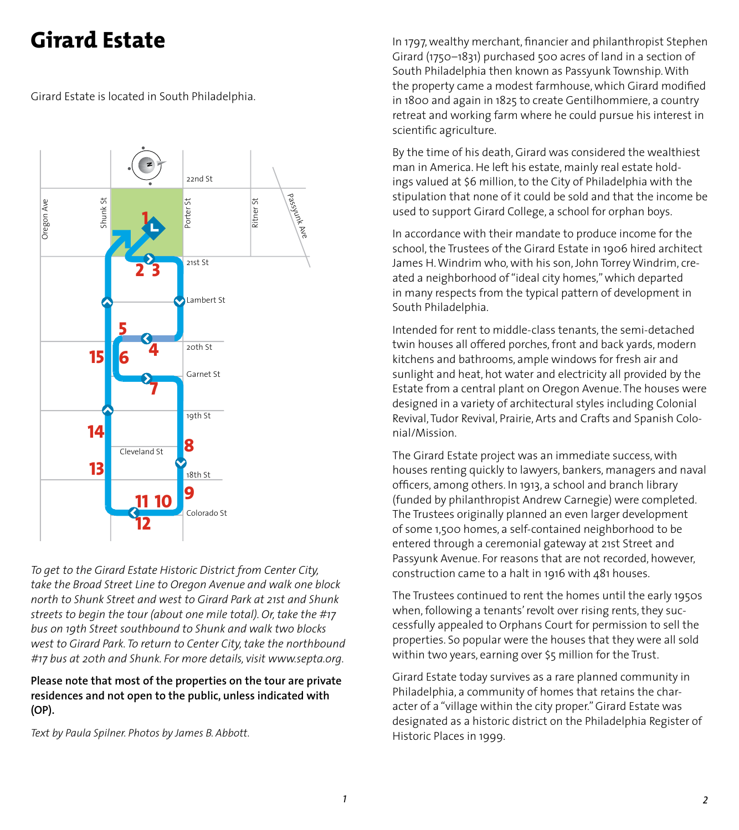# **Girard Estate**

Girard Estate is located in South Philadelphia.



*To get to the Girard Estate Historic District from Center City, take the Broad Street Line to Oregon Avenue and walk one block north to Shunk Street and west to Girard Park at 21st and Shunk streets to begin the tour (about one mile total). Or, take the #17 bus on 19th Street southbound to Shunk and walk two blocks west to Girard Park. To return to Center City, take the northbound #17 bus at 20th and Shunk. For more details, visit www.septa.org.*

**Please note that most of the properties on the tour are private residences and not open to the public, unless indicated with (OP).**

*Text by Paula Spilner. Photos by James B. Abbott.*

In 1797, wealthy merchant, financier and philanthropist Stephen Girard (1750–1831) purchased 500 acres of land in a section of South Philadelphia then known as Passyunk Township. With the property came a modest farmhouse, which Girard modified in 1800 and again in 1825 to create Gentilhommiere, a country retreat and working farm where he could pursue his interest in scientific agriculture.

By the time of his death, Girard was considered the wealthiest man in America. He left his estate, mainly real estate holdings valued at \$6 million, to the City of Philadelphia with the stipulation that none of it could be sold and that the income be used to support Girard College, a school for orphan boys.

In accordance with their mandate to produce income for the school, the Trustees of the Girard Estate in 1906 hired architect James H. Windrim who, with his son, John Torrey Windrim, created a neighborhood of "ideal city homes," which departed in many respects from the typical pattern of development in South Philadelphia.

Intended for rent to middle-class tenants, the semi-detached twin houses all offered porches, front and back yards, modern kitchens and bathrooms, ample windows for fresh air and sunlight and heat, hot water and electricity all provided by the Estate from a central plant on Oregon Avenue. The houses were designed in a variety of architectural styles including Colonial Revival, Tudor Revival, Prairie, Arts and Crafts and Spanish Colonial/Mission.

The Girard Estate project was an immediate success, with houses renting quickly to lawyers, bankers, managers and naval officers, among others. In 1913, a school and branch library (funded by philanthropist Andrew Carnegie) were completed. The Trustees originally planned an even larger development of some 1,500 homes, a self-contained neighborhood to be entered through a ceremonial gateway at 21st Street and Passyunk Avenue. For reasons that are not recorded, however, construction came to a halt in 1916 with 481 houses.

The Trustees continued to rent the homes until the early 1950s when, following a tenants' revolt over rising rents, they successfully appealed to Orphans Court for permission to sell the properties. So popular were the houses that they were all sold within two years, earning over \$5 million for the Trust.

Girard Estate today survives as a rare planned community in Philadelphia, a community of homes that retains the character of a "village within the city proper." Girard Estate was designated as a historic district on the Philadelphia Register of Historic Places in 1999.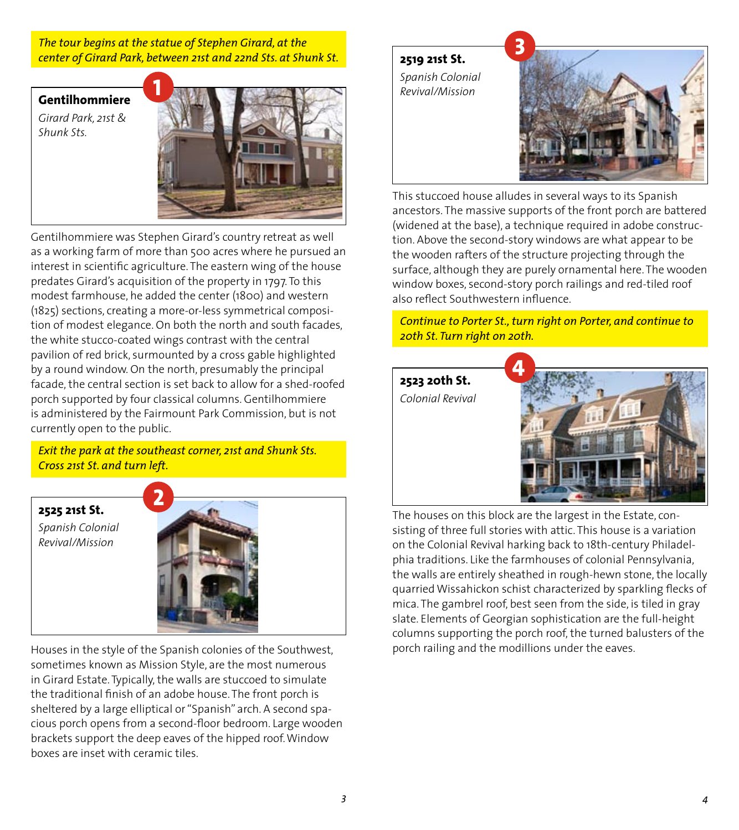#### *The tour begins at the statue of Stephen Girard, at the center of Girard Park, between 21st and 22nd Sts. at Shunk St.*

**Gentilhommiere** *Girard Park, 21st & Shunk Sts.*



Gentilhommiere was Stephen Girard's country retreat as well as a working farm of more than 500 acres where he pursued an interest in scientific agriculture. The eastern wing of the house predates Girard's acquisition of the property in 1797. To this modest farmhouse, he added the center (1800) and western (1825) sections, creating a more-or-less symmetrical composition of modest elegance. On both the north and south facades, the white stucco-coated wings contrast with the central pavilion of red brick, surmounted by a cross gable highlighted by a round window. On the north, presumably the principal facade, the central section is set back to allow for a shed-roofed porch supported by four classical columns. Gentilhommiere is administered by the Fairmount Park Commission, but is not currently open to the public.

*Exit the park at the southeast corner, 21st and Shunk Sts. Cross 21st St. and turn left.*

**2525 21st St.** *Spanish Colonial Revival/Mission*



Houses in the style of the Spanish colonies of the Southwest, sometimes known as Mission Style, are the most numerous in Girard Estate. Typically, the walls are stuccoed to simulate the traditional finish of an adobe house. The front porch is sheltered by a large elliptical or "Spanish" arch. A second spacious porch opens from a second-floor bedroom. Large wooden brackets support the deep eaves of the hipped roof. Window boxes are inset with ceramic tiles.

**2519 21st St.** *Spanish Colonial Revival/Mission*



This stuccoed house alludes in several ways to its Spanish ancestors. The massive supports of the front porch are battered (widened at the base), a technique required in adobe construction. Above the second-story windows are what appear to be the wooden rafters of the structure projecting through the surface, although they are purely ornamental here. The wooden window boxes, second-story porch railings and red-tiled roof also reflect Southwestern influence.

*Continue to Porter St., turn right on Porter, and continue to 20th St. Turn right on 20th.*



The houses on this block are the largest in the Estate, consisting of three full stories with attic. This house is a variation on the Colonial Revival harking back to 18th-century Philadelphia traditions. Like the farmhouses of colonial Pennsylvania, the walls are entirely sheathed in rough-hewn stone, the locally quarried Wissahickon schist characterized by sparkling flecks of mica. The gambrel roof, best seen from the side, is tiled in gray slate. Elements of Georgian sophistication are the full-height columns supporting the porch roof, the turned balusters of the porch railing and the modillions under the eaves.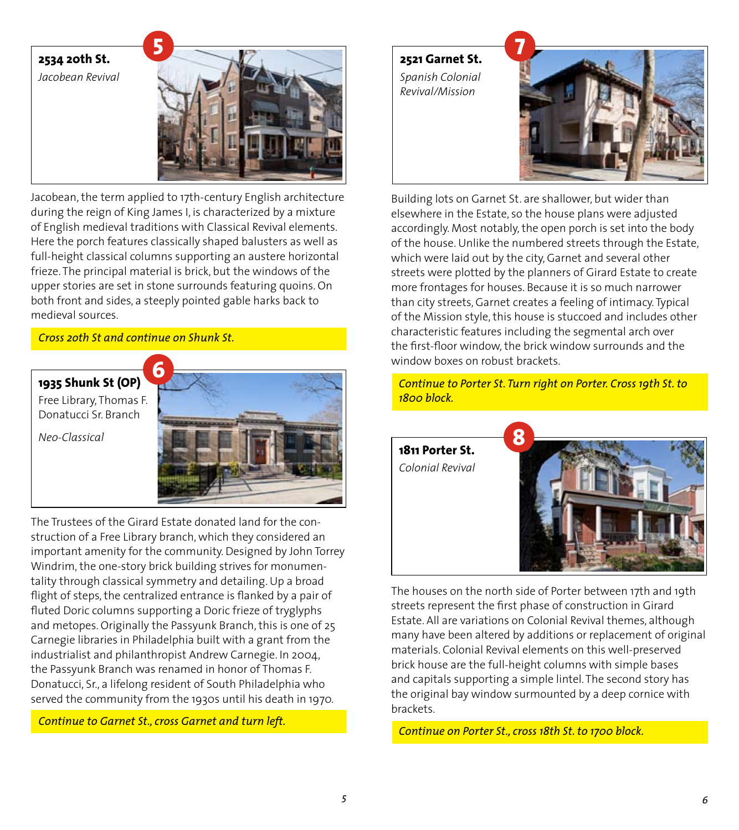

Jacobean, the term applied to 17th-century English architecture during the reign of King James I, is characterized by a mixture of English medieval traditions with Classical Revival elements. Here the porch features classically shaped balusters as well as full-height classical columns supporting an austere horizontal frieze. The principal material is brick, but the windows of the upper stories are set in stone surrounds featuring quoins. On both front and sides, a steeply pointed gable harks back to medieval sources.

### *Cross 2oth St and continue on Shunk St.*



The Trustees of the Girard Estate donated land for the construction of a Free Library branch, which they considered an important amenity for the community. Designed by John Torrey Windrim, the one-story brick building strives for monumentality through classical symmetry and detailing. Up a broad flight of steps, the centralized entrance is flanked by a pair of fluted Doric columns supporting a Doric frieze of tryglyphs and metopes. Originally the Passyunk Branch, this is one of 25 Carnegie libraries in Philadelphia built with a grant from the industrialist and philanthropist Andrew Carnegie. In 2004, the Passyunk Branch was renamed in honor of Thomas F. Donatucci, Sr., a lifelong resident of South Philadelphia who served the community from the 1930s until his death in 1970.

*Continue to Garnet St., cross Garnet and turn left.* 

**2521 Garnet St.** *Spanish Colonial Revival/Mission*



Building lots on Garnet St. are shallower, but wider than elsewhere in the Estate, so the house plans were adjusted accordingly. Most notably, the open porch is set into the body of the house. Unlike the numbered streets through the Estate, which were laid out by the city, Garnet and several other streets were plotted by the planners of Girard Estate to create more frontages for houses. Because it is so much narrower than city streets, Garnet creates a feeling of intimacy. Typical of the Mission style, this house is stuccoed and includes other characteristic features including the segmental arch over the first-floor window, the brick window surrounds and the window boxes on robust brackets.

*Continue to Porter St. Turn right on Porter. Cross 19th St. to 1800 block.*



The houses on the north side of Porter between 17th and 19th streets represent the first phase of construction in Girard Estate. All are variations on Colonial Revival themes, although many have been altered by additions or replacement of original materials. Colonial Revival elements on this well-preserved brick house are the full-height columns with simple bases and capitals supporting a simple lintel. The second story has the original bay window surmounted by a deep cornice with brackets.

*Continue on Porter St., cross 18th St. to 1700 block.*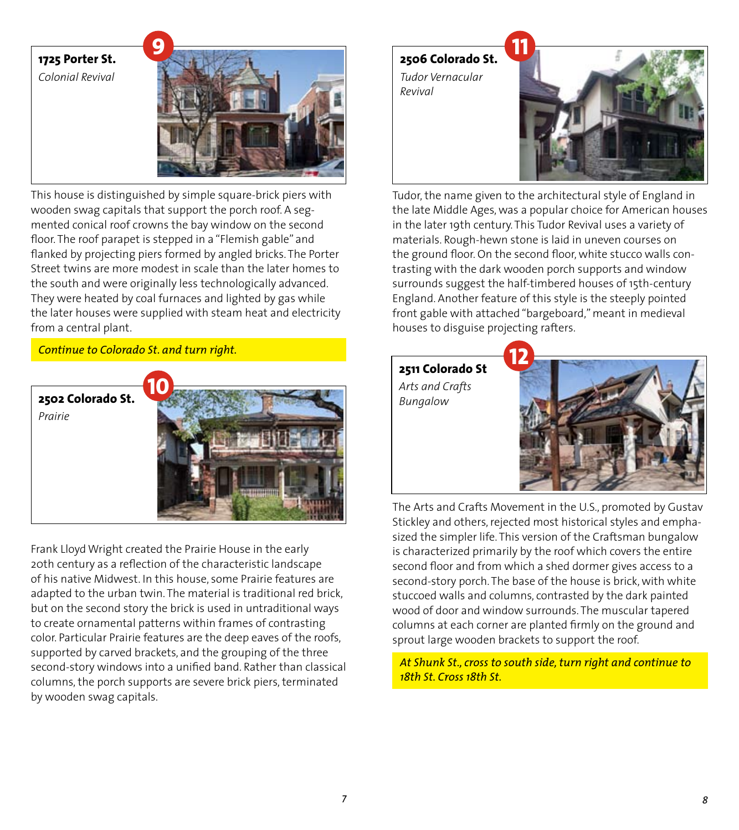## **1725 Porter St.** *Colonial Revival*  **9 2506 Colorado St.** *Tudor Vernacular Revival* **11**

This house is distinguished by simple square-brick piers with wooden swag capitals that support the porch roof. A segmented conical roof crowns the bay window on the second floor. The roof parapet is stepped in a "Flemish gable" and flanked by projecting piers formed by angled bricks. The Porter Street twins are more modest in scale than the later homes to the south and were originally less technologically advanced. They were heated by coal furnaces and lighted by gas while the later houses were supplied with steam heat and electricity from a central plant.

### *Continue to Colorado St. and turn right.*



Frank Lloyd Wright created the Prairie House in the early 20th century as a reflection of the characteristic landscape of his native Midwest. In this house, some Prairie features are adapted to the urban twin. The material is traditional red brick, but on the second story the brick is used in untraditional ways to create ornamental patterns within frames of contrasting color. Particular Prairie features are the deep eaves of the roofs, supported by carved brackets, and the grouping of the three second-story windows into a unified band. Rather than classical columns, the porch supports are severe brick piers, terminated by wooden swag capitals.



Tudor, the name given to the architectural style of England in the late Middle Ages, was a popular choice for American houses in the later 19th century. This Tudor Revival uses a variety of materials. Rough-hewn stone is laid in uneven courses on the ground floor. On the second floor, white stucco walls contrasting with the dark wooden porch supports and window surrounds suggest the half-timbered houses of 15th-century England. Another feature of this style is the steeply pointed front gable with attached "bargeboard," meant in medieval houses to disguise projecting rafters.

### **2511 Colorado St**

*Arts and Crafts Bungalow*



The Arts and Crafts Movement in the U.S., promoted by Gustav Stickley and others, rejected most historical styles and emphasized the simpler life. This version of the Craftsman bungalow is characterized primarily by the roof which covers the entire second floor and from which a shed dormer gives access to a second-story porch. The base of the house is brick, with white stuccoed walls and columns, contrasted by the dark painted wood of door and window surrounds. The muscular tapered columns at each corner are planted firmly on the ground and sprout large wooden brackets to support the roof.

*At Shunk St., cross to south side, turn right and continue to 18th St. Cross 18th St.*